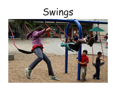# Swings

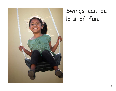

### Swings can be lots of fun.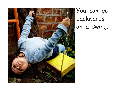

You can go backwards on a swing.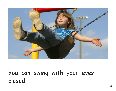

You can swing with your eyes closed.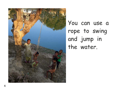

You can use a rope to swing and jump in the water.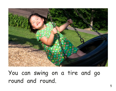

You can swing on a tire and go round and round.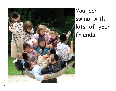

You can swing with lots of your friends.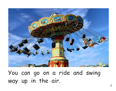

You can go on a ride and swing way up in the air.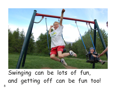

## Swinging can be lots of fun, and getting off can be fun too!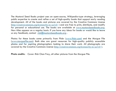The Mustard Seed Books project uses an open-source, Wikipedia-type strategy, leveraging public expertise to create and refine a set of high-quality books that support early reading development. All of the books and pictures are covered by the Creative Commons License (http://creativecommons.org/licenses/by-nc-sa/3.0/ ) and are free to print, distribute, and modify for personal or educational use. The books are available at www.mustardseedbooks.org. New titles appear on a regular basis. If you have any ideas for books or would like to leave us any feedback, contact rick@mustardseedbooks.org.

Photos for these books come primarily from Flickr (www.flickr.com) and the Morgue File (www.morguefile.com). Both sites are great resources for high-quality publicly accessible photos and for aspiring photographers looking to share their work. All photographs are covered by the Creative Commons License (http://creativecommons.org/licenses/by-nc-sa/3.0/ ).

**Photo credits:** Cover: Rick Chan Frey, all other pictures from the Morgue File.